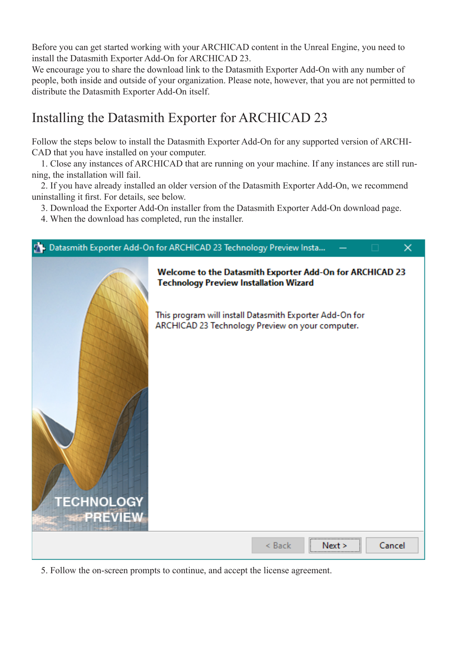Before you can get started working with your ARCHICAD content in the Unreal Engine, you need to install the Datasmith Exporter Add-On for ARCHICAD 23.

We encourage you to share the download link to the Datasmith Exporter Add-On with any number of people, both inside and outside of your organization. Please note, however, that you are not permitted to distribute the Datasmith Exporter Add-On itself.

## Installing the Datasmith Exporter for ARCHICAD 23

Follow the steps below to install the Datasmith Exporter Add-On for any supported version of ARCHI-CAD that you have installed on your computer.

 1. Close any instances of ARCHICAD that are running on your machine. If any instances are still running, the installation will fail.

 2. If you have already installed an older version of the Datasmith Exporter Add-On, we recommend uninstalling it first. For details, see below.

3. Download the Exporter Add-On installer from the Datasmith Exporter Add-On download page.

4. When the download has completed, run the installer.



5. Follow the on-screen prompts to continue, and accept the license agreement.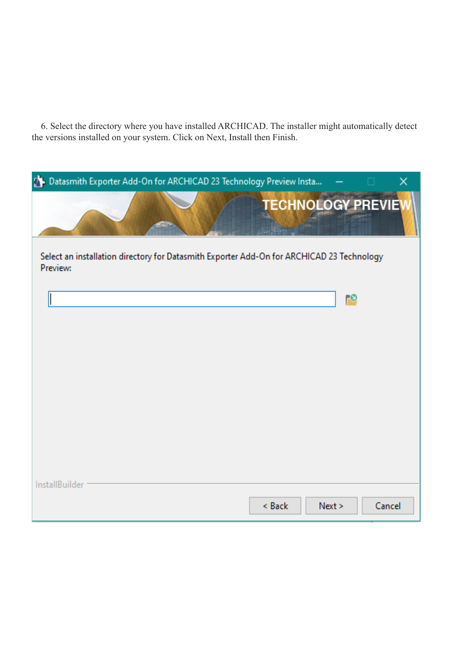6. Select the directory where you have installed ARCHICAD. The installer might automatically detect the versions installed on your system. Click on Next, Install then Finish.

| Datasmith Exporter Add-On for ARCHICAD 23 Technology Preview Insta                                    | $\Box$ | $\times$ |  |  |  |  |  |  |
|-------------------------------------------------------------------------------------------------------|--------|----------|--|--|--|--|--|--|
| <b>TECHNOLOGY PREVIE</b>                                                                              |        |          |  |  |  |  |  |  |
| Select an installation directory for Datasmith Exporter Add-On for ARCHICAD 23 Technology<br>Preview: |        |          |  |  |  |  |  |  |
|                                                                                                       | ه،     |          |  |  |  |  |  |  |
|                                                                                                       |        |          |  |  |  |  |  |  |
|                                                                                                       |        |          |  |  |  |  |  |  |
|                                                                                                       |        |          |  |  |  |  |  |  |
|                                                                                                       |        |          |  |  |  |  |  |  |
|                                                                                                       |        |          |  |  |  |  |  |  |
| InstallBuilder<br>< Back<br>Next >                                                                    | Cancel |          |  |  |  |  |  |  |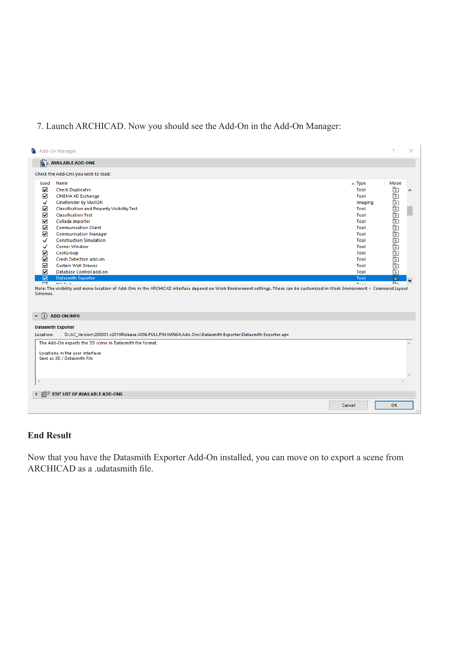## 7. Launch ARCHICAD. Now you should see the Add-On in the Add-On Manager:

| Add-On Manager                                                                                   |                                                                                                                                                                                                                                                                                                                                                                                                                                                                                                                                                                                                                                                   |                                                                                                                                                         | 7                                                                                 | × |  |  |  |  |
|--------------------------------------------------------------------------------------------------|---------------------------------------------------------------------------------------------------------------------------------------------------------------------------------------------------------------------------------------------------------------------------------------------------------------------------------------------------------------------------------------------------------------------------------------------------------------------------------------------------------------------------------------------------------------------------------------------------------------------------------------------------|---------------------------------------------------------------------------------------------------------------------------------------------------------|-----------------------------------------------------------------------------------|---|--|--|--|--|
|                                                                                                  | $\frac{1}{2}$ AVAILABLE ADD-ONS                                                                                                                                                                                                                                                                                                                                                                                                                                                                                                                                                                                                                   |                                                                                                                                                         |                                                                                   |   |  |  |  |  |
|                                                                                                  | Check the Add-Ons you wish to load:                                                                                                                                                                                                                                                                                                                                                                                                                                                                                                                                                                                                               |                                                                                                                                                         |                                                                                   |   |  |  |  |  |
| Load<br>☑<br>☑<br>✓<br>☑<br>☑<br>☑<br>☑<br>☑<br>✓<br>✓<br>☑<br>☑<br>☑<br>☑<br>☑<br>▭<br>Schemes. | Name<br><b>Check Duplicates</b><br>CINEMA 4D Exchange<br>CineRender by MAXON<br><b>Classification and Property Visibility Test</b><br><b>Classification Test</b><br>Collada importer<br><b>Communication Client</b><br><b>Communication Manager</b><br><b>Construction Simulation</b><br><b>Corner Window</b><br>CostGroup<br><b>Crash Detection add-on</b><br><b>Curtain Wall Drawer</b><br>Database Control add-on<br><b>Datasmith Exporter</b><br><b>DOTA</b><br>Note: The visibility and menu location of Add-Ons in the ARCHICAD interface depend on Work Environment settings. These can be customized in Work Environment > Command Layout | $\triangle$ Type<br>Tool<br>Tool<br>Imaging<br>Tool<br>Tool<br>Tool<br>Tool<br>Tool<br>Tool<br>Tool<br>Tool<br>Tool<br>Tool<br>Tool<br>Tool<br>$T = 10$ | Mode<br>Eleided En Eleided En Eleided En Eleided<br>চি<br>$\overline{\mathbb{R}}$ |   |  |  |  |  |
|                                                                                                  | <b>ADD-ON INFO</b>                                                                                                                                                                                                                                                                                                                                                                                                                                                                                                                                                                                                                                |                                                                                                                                                         |                                                                                   |   |  |  |  |  |
|                                                                                                  | <b>Datasmith Exporter</b>                                                                                                                                                                                                                                                                                                                                                                                                                                                                                                                                                                                                                         |                                                                                                                                                         |                                                                                   |   |  |  |  |  |
| Location:                                                                                        | D:\AC_Version\200301.v2019Release.4006.FULL.FIN.WIN64\Add-Ons\Datasmith Exporter\Datasmith Exporter.apx                                                                                                                                                                                                                                                                                                                                                                                                                                                                                                                                           |                                                                                                                                                         |                                                                                   |   |  |  |  |  |
|                                                                                                  | The Add-On exports the 3D scene in Datasmith file format.<br>Locations in the user interface:<br>Save as 3D / Datasmith File                                                                                                                                                                                                                                                                                                                                                                                                                                                                                                                      |                                                                                                                                                         |                                                                                   |   |  |  |  |  |
| $\,<$                                                                                            |                                                                                                                                                                                                                                                                                                                                                                                                                                                                                                                                                                                                                                                   |                                                                                                                                                         |                                                                                   |   |  |  |  |  |
| EDIT LIST OF AVAILABLE ADD-ONS                                                                   |                                                                                                                                                                                                                                                                                                                                                                                                                                                                                                                                                                                                                                                   |                                                                                                                                                         |                                                                                   |   |  |  |  |  |
|                                                                                                  |                                                                                                                                                                                                                                                                                                                                                                                                                                                                                                                                                                                                                                                   | Cancel                                                                                                                                                  | OK                                                                                |   |  |  |  |  |

## **End Result**

Now that you have the Datasmith Exporter Add-On installed, you can move on to export a scene from ARCHICAD as a .udatasmith file.